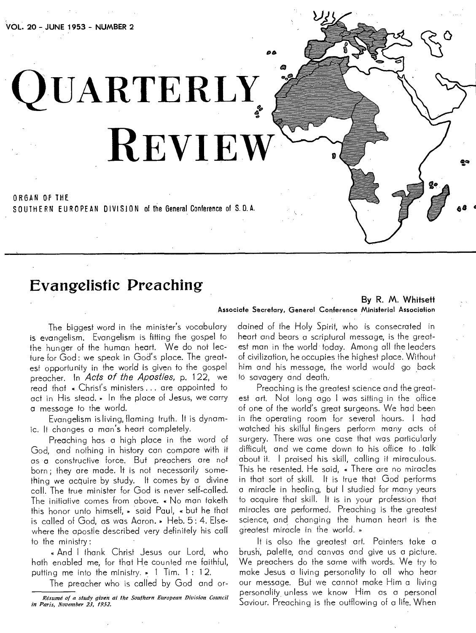**VOL. 20 - JUNE 1953 - NUMBER 2** 

**QUARTERLY, REVIEW** 

ORGAN Of THE SOUTHERN EUROPEAN DIVISION of the General Conference of S.D.A.

### **Evangelistic Preaching**

#### By R. M. Whitsett Associate Secretary, General Conference Ministerial Association

*DO* 

The biggest word in the minister's vocabulary is evangelism. Evangelism is fitting the gospel to the hunger of the human heart. We do not lecture for God : we speak in God's place. The greatest opportunity in the world is given to the gospel preacher. In Acts of the Apostles, p. 122, we read that « Christ's ministers ... are appointed to act in His stead. » In the place of Jesus, we carry a message to the world.

Evangelism is living, flaming truth. It is dynamic. It changes a man's heart completely.

Preaching has a high place in the word of God, and nothing in history can compare with it as a constructive force. But preachers are not born ; they are made. It is not necessarily something we acquire by study. It comes by a divine call. The true minister for God is never self-called. The initiative comes from above. « No man taketh this honor unto himself,  $\ast$  said Paul,  $\ast$  but he that is called of God, as was Aaron. » Heb. 5: 4. Elsewhere the apostle described very definitely his call to the ministry:

And I thank Christ Jesus our Lord, who hath enabled me, for that He counted me faithful, putting me into the ministry.  $\bullet$  1 Tim. 1 : 12,

The preacher who is called by God and or-

dained of the Holy Spirit, who is consecrated in heart and bears a scriptural message, is the greatest man in the world today. Among all the leaders of civilization, he occupies the highest place. Without him and his message, the world would go back to savagery and death.

Preaching is the greatest science and the greatest art. Not long ago I was sitting in the office of one of the world's great surgeons. We had been in the operating room for several hours. I had watched his skilful fingers perform many acts of surgery. There was one case that was particularly difficult, and we came down to his office to talk about it. I praised his skill, calling it miraculous. This he resented. He said, « There are no miracles in that sort of skill. It is true that God performs a miracle in healing, but I studied for many years to acquire that skill. It is in your profession that miracles are performed. Preaching is the greatest science, and changing the human heart is the greatest miracle in the world.

It is also the greatest art. Painters take a brush, palette, and canvas and give us a picture. We preachers do the same with words. We try to make Jesus a living personality to all who hear our message. But we cannot make Him a living personality unless we know Him as a personal Saviour. Preaching is the outflowing of a life. When

*Resume of a study given at the Southern European Division Council in Paris, November 23, 1952.*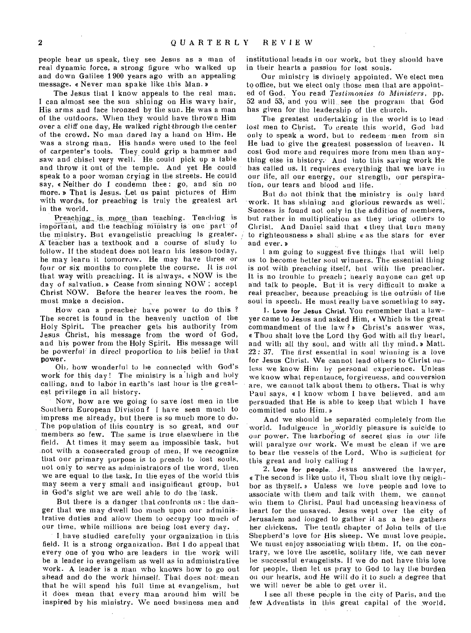people hear us speak, they see Jesus as a man of real dynamic force, a strong figure who walked up and down Galilee 1 900 years ago with an appealing message. « Never man spake like this Man. »

The Jesus that I know appeals to the real man. I can almost see the sun shining on His wavy hair, His arms and face bronzed by the sun. He was a man of the outdoors. When they would have thrown Him *over* a cliff one day, He walked right through the center of the crowd. No man dared lay a hand on Him. He was a strong man. His hands were used to the feel of carpenter's tools. They could grip a hammer and saw and chisel very well. He could pick up a table and throw it out of the temple. And yet He could speak to a poor woman crying in the streets. He could say, « Neither do I condemn thee: go, and sin no more. a That is Jesus. Let us paint pictures of Him with words, for preaching is truly the greatest art in the world.

Preaching, is more than teaching. Teaching is important, and the teaching ministry is one part of the ministry. But evangelistic preaching Is greater. A teacher has a textbook and a course of study to follow. If the student does not learn his lesson today, he may learn it tomorrow. He may have three or four or six months to complete the course. It is not that way with preaching. It is always, a NOW is the day of salvation. » Cease from sinning NOW; accept Christ NOW. Before the hearer leaves the room, he must make a decision.

How can a preacher have power to do this ? The secret is found in the heavenly unction of the Holy Spirit. The preacher gets his authority from Jesus Christ, his message from the word of God, and his power from the Holy Spirit. His message will be powerful in direct proportion to his belief in that power.

Oh, how wonderful to he connected with God's work for this day! The ministry is a high and holy calling, and to labor in earth's last hour is the greatest privilege in all history.

Now, how are we going to save lost men in the Southern European Division ? I have seen much to impress me already, but there is so much more to do. The population of this country is so great, and our members so few. The same is true elsewhere in the field. At times it may seem an impossible task, but not with a consecrated group of men. If we recognize that our primary purpose is to preach to lost souls, not only to serve as administrators of the word, then we are equal to the task. In the eyes of the world this may seem a very small and insignificant group, but in God's sight we are well able to do the lask.

But there is a danger that confronts us : the danger that we may dwell too much upon our administrative duties and allow them to occupy too much of our time, while millions are being lost every day.

I have studied carefully your organization in this field. It is a strong organization. But I do appeal that every one of you who are leaders in the work will be a leader in evangelism as well as in administrative work. A leader is a man who knows how to go out ahead and do the work himself. That does not mean that he will spend his full time at evangelism, but it does mean that every man around him will be inspired by his ministry. We need business men and

institutional heads in our work, but they should have in their hearts a passion for lost souls.

Our ministry is divinely appointed. We elect men to office, but we elect only those men that are appointed of God. You read *Testimonies to Ministers,* pp. 52 and 53, and you will., see the program that God has given for the leadership of the church.

The greatest undertaking in the world is to lead lost men to Christ. To create this world, God had only to speak a word, but to redeem 'men from sin He had to 'give the greatest possession of heaven. It cost God more and requires more from men than anything else in history.- And into this saving work He has called us. It requires everything that we have in our life, all our energy, our strength, our perspiration, our tears and blood and life.

But do not think that the ministry is only hard work. It has shining and glorious rewards as well: Success is found not only in the addition of members, but rather in multiplication as they bring others to Christ. And Daniel said that a they that turn many to righteousness  $\triangleright$  shall shine cas the stars for ever and ever. a

I am going to suggest five things that will help us to. become better soul winners. The essential thing is not with preaching itself, but with the preacher. It is no trouble to preach ; nearly anyone can get up and talk to people. But it is very difficult to make a real preacher, because preaching is the outriish of the soul in speech. He must really have something to say.

1. Love for Jesus Chrisf. You remember that a lawyer came to Jesus and asked Him, a Which is the great commandment of the law  $?$  Dependix Christ's answer was, a Thou shalt love the Lord thy God with all thy heart, and with all thy soul, and with all thy mind. » Matt. 22: 37. The first essential in soul winning is a love for Jesus Christ. We cannot lead others to Christ unless we know Him by personal experience. Unless we know what repentance, forgiveness, and conversion are, we cannot talk about them to others. That is why Paul says, a I know whom I have believed, and am persuaded that He is able to keep that which I have committed unto Him.

And we should be separated completely from the world. Indulgence 'in .worldly pleasure is suicide to our power. The harboring' of secret sins in our life will paralyze our work. We must be clean if we are to bear the vessels of the Lord. Who is sufficient for this great and holy calling ?

2. Love for people., Jesus answered the lawyer, a The second is like unto it, Thou shalt love thy neighbor as thyself. » Unless we love people and love to associate with them and talk with them, we cannot win them to Christ. Paul had unceasing heaviness of heart for the unsaved. Jesus wept over the city of Jerusalem and longed to gather it as a hen *gathers*  her chickens. The tenth chapter of John tells of the Shepherd's love for His sheep. We must love people. We must enjoy associating with them. If, on the contrary, we love the ascetic, solitary life, we can never be successful evangelists. If we do not have this love for people, then let us pray to God to lay the burden on our hearts, and He will do it to such a degree that we will never be able to get over il.

I see all these people in the city of Paris, and the few Adventists in this great capital of the world.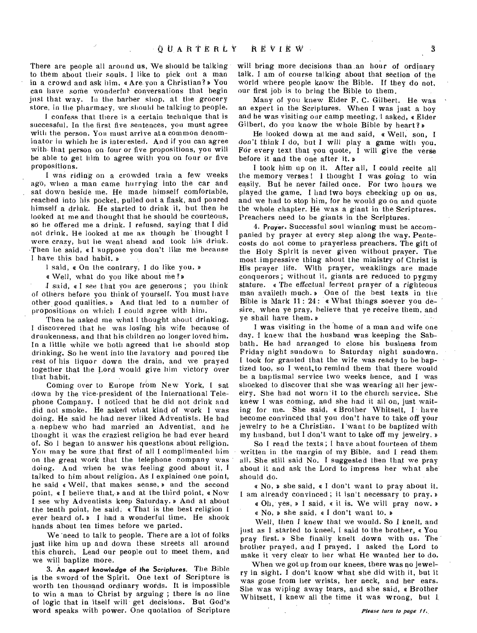There are people all around us, We should be talking to them about their souls. I like to pick out a man in a crowd and ask him, «Are you a Christian?» You can have some wonderful. conversations that begin just that way. In the barber shop, at the grocery store, in the pharmacy, we should be talking to people.

I confess that there is a certain technique that is successful. In the first five sentences, you must agree with the person. You must arrive at a common denominator in which he is interested. And if you can agree with- that person on four or five propositions, you will be able to get him to agree with you on four or five propositions.

I was riding on a crowded train a few weeks ago, when a man came hurrying into the car and sat down beside me. He made himself comfortable, reached into his pocket, pulled out a flask, and poured himself a drink. He started to drink it, hut then he looked at me and thought that he should be courteous, so he offered me a drink. I refused, saying that I did not drink. He looked at me as though he' thought I were crazy, but lie went ahead and took his drink. Then he said, a I Suppose you don't like me because I have this bad habit. »

1 said, a On the contrary, I do like you. a

a Well, what do you like about me?»

I said, a I see that you are generous ; you think of others before you think of yourself. You must have other good qualities. » And that led to a number of propositions on which I could agree with him.

Then he asked me what I thought about drinking. I discovered that he was losing his wife because of drunkenness, and that his children no longer loved him. In a little while we both agreed that he should stop drinking. So he went into the lavatory and poured the rest of his liquor down the drain, and we prayed together that the Lord would give him victory over that habit.

Coming over to Europe from New York, I sat down by the vice-president of the International Telephone Company. I noticed that he did not drink and did not smoke. He asked what kind of work I was doing. He said he had never liked Adventists. He had a nephew who had married an Adventist, and he thought it was the craziest religion he had ever heard of. So I began to answer his questions about religion. You may be sure that first of all I complimented him on the great work that the telephone company was doing. And when he was feeling good about it, I talked to him about religion. As I explained one point, he said a Well, that makes sense, and the second point,  $\alpha$  I believe that,  $\nu$  and at the third point,  $\alpha$  Now I see why Adventists keep Saturday. » And at about the tenth point, he said; a That is the best religion I ever heard of. D I had a wonderful time. He shook hands about ten times before we parted.

We 'need to talk to people. There are a lot of folks just like him up and down these streets all around this church. Lead our people out to meet them, and we will baptize more.

3. **An expert knowledge of the Scriptures.** The Bible is the sword 'of the Spirit. One text of Scripture is worth ten thousand ordinary words. It is impossible to win a man to Christ by arguing ; there is no line of logic that in itself will get decisions. But God's word speaks with power. One quotation of Scripture

wilt bring more decisions than .an hour of ordinary talk. I am of course talking about that section of the world where people know the Bible. If they do not, our first job is to bring the Bible to them.

Many of you knew Elder F. C. Gilbert. He was an expert in the Scriptures. When I was just a boy and he was visiting our camp meeting, 1 asked, « Elder Gilbert, do you know the whole Bible by heart?»

He looked down at me and said, a Well, son, I don't think I do, but I will play a game with you. For every text that you quote, I will give the verse before it and the one after it.

I took him up on it. After all, I could recite all the memory verses ! 1 thought I was going to win easily. But he never failed once. For two hours we played the game. Iliad two boys checking up on us, and we had to stop him, for he would go on and quote the whole chapter. He was a giant in the Scriptures. Preachers need to be giants in the Scriptures.

4. **Prayer.** Successful soul winning must he accompanied by prayer at every step along the way. Pentecosts do not come to prayerless preachers. The gift of the Holy Spirit is never given without prayer. The most Impressive thing about the ministry of Christ is His prayer life. With prayer, weaklings are made conquerors; without it, giants are reduced to pygmy stature. a The effectual fervent prayer of a righteous man availeth much.» One of the best texts in the Bible is Mark 11: 24: « What things soever you desire, when ye pray, believe that ye receive them, and ye shall have them. <sup>a</sup>

I was visiting in the home of a man and wife one day. I knew that the husband was keeping the Sabbath. He had arranged to close his business from Friday night sundown to Saturday night sundown. I took for granted that the wife was ready to be baptized too, so I went,to remind them that there would be a baptismal service two weeks hence, and I was shocked to discover that she was wearing all her jewelry. She had not worn 'it to the church service. She knew I was coming, and she had it all on, just waiting for me. She said, a Brother Whitsett, I have become convinced that you don't have to take off your jewelry to he a Christian. I 'want to be baptized with my husband, but I don't want to take off my jewelry.

So I read the texts; I have about fourteen of them written in the margin of my Bible, and I read them all. She still said No. I suggested then that we pray about it and ask the Lord to impress her what she should do.

a No, a she said, a I don't want to pray about it. I am already convinced ; it isn't necessary to pray. a

a Oh, yes, a I said, a it is. We will pray now.

a No, a she said, a I don't want to.

Well, then I knew that we would. So I knelt, and just as I started to kneel, I said to the brother, a You pray first. a She finally knelt down with us. The brother prayed, and I prayed. I asked the Lord to make it very clear to her what He wanted her to do.

When we got up from our knees, there was no jewelry in sight. I don't know what she did with it, but it was gone from her wrists, her neck, and her ears. She was wiping away tears, and she said, a Brother Whitsett, I knew all the time it was wrong, but 1.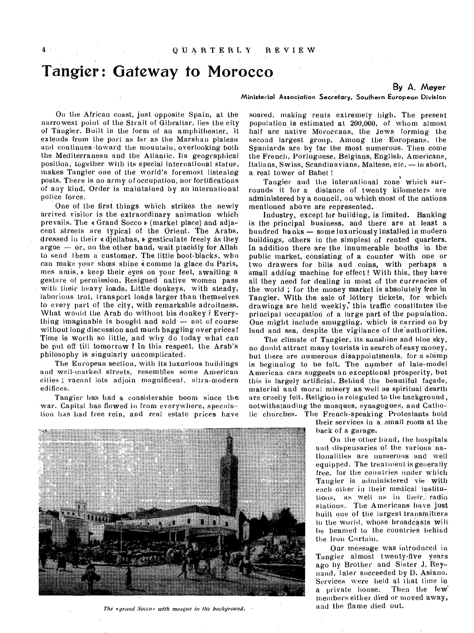# **Tangier: Gateway to Morocco**

#### **By A. Meyer**

#### Ministerial Association Secretary, Southern European Division

On the African coast, just opposite Spain, at the narrowest point of the Strait of Gibraltar, lies the city of Tangier. Built in the form of an amphitheater, it extends from the port as far as the Marshan plateau and continues toward the mountain, overlooking both the Mediterranean and the Atlantic. Its geographical position; together with its special international status, makes Tangier one of the world's foremost listening posts. There is no army of occupation, nor fortifications of any kind. Order is maintained by an international police force.

One of the first things which strikes the newly arrived visitor is the extraordinary animation which prevails. The « Grand Socco » (market place) and adjacent streets are typical of the Orient. The Arabs, dressed in their « djellabas, » gesticulate freely as they argue  $-$  or, on the other hand, wait placidly for Allah. to send them a customer. The little boot-blacks, who can make your shœs shine « comme la glace du Paris, mes amis, b keep their eyes on your feet, awaiting a gesture of permission. Resigned native women pass with their heavy loads. Little donkeys, with steady, laborious trot, transport loads larger than themselves to every part of the city, with remarkable adroitness. What would the Arab do without his donkey ? Everything imaginable is bought and sold — not of course without long discussion and much haggling over prices! Time is worth so little, and why do today what can be put off till tomorrow ? In this respect, the Arab's philosophy is singularly uncomplicated.

The European section, with its luxurious buildings and well-marked streets, resembles some American cities ; vacant lots adjoin magnificent, ultra-modern edifices.

Tangier has had a considerable boom since the war. Capital has flowed in from everywhere, speculation has had free rein, and real estate prices have

The *« arand Socco »* with *mosque in the background*.  $\cdot$ 

soared, making rents extremely high. The present population is estimated at 200,000, of whom almost half are native Moroccans, the Jews, forming the second largest group. Among the Europeans, the Spaniards are by far the most numerous. Then come the French, Portuguese, Belgians, English, Americans, Italians, Swiss, Scandinavians, Maltese, etc. —in short, a real tower of Babel !

Tangier and the international zone which surrounds it for a distance of twenty kilometers are administered by a council, on which most of the nations mentioned above are represented.

Industry, except for building, is limited. Banking is the principal business, and there are at least a hundred banks — some luxuriously installed in modern buildings, others in the simplest of rented quarters. In addition there are the innumerable booths in. the public market, consisting of a counter with one or two drawers for bills and coins, with perhaps a small adding machine for effect! With this, they have all they need for dealing in most of the currencies of the world ; for the money market is absolutely free in Tangier. With the sale of lottery tickets, for which drawings'are held weekly; this traffic constitutes the principal occupation of a, large part of the population. One might include smuggling, which is carried on by land and sea, despite the vigilance of the authorities.

The climate of Tangier, its sunshine and blue sky, no doubt attract many tourists in search of easy money, but there are numerous disappointments, for a slump is beginning to be felt. The number of late-model American cars suggests an exceptional prosperity, but this is largely artificial. Behind the beautiful façade, material and moral misery as well as spiritual dearth are cruelly felt. Religion is relegated to the background, notwithstanding the mosques, synagogues, and Catholic churches. The French-speaking Protestants hold

their services in a small room at the hack of a garage.

On the other hand, the hospitals and dispensaries of the various nationalities are numerous and well equipped. The treatment is generally free, for the countries under which Tangier is administered vie with each other in their medical institutions, as well as in their radio stations. The Americans have just built one of the largest transmitters in the world, whose broadcasts willhe beamed to the countries behind the Iron Curtain.

Our message was introduced in Tangier almost twenty-five years ago by Brother and Sister J. Reynand, later succeeded by D. Asiano. Services were held at that time in a private house. Then the few members either died or moved away, and the flame died out.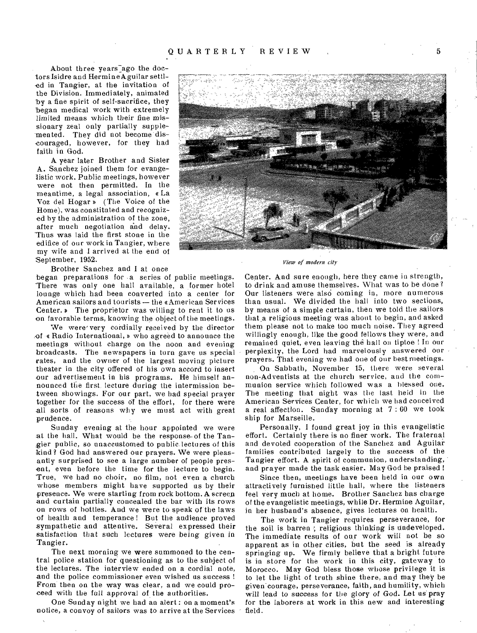About three years ago the doctors Isidre and HermineAguilar settled in Tangier, at the invitation of the Division. Immediately, animated by a fine spirit of self-sacrifice, they began medical work with extremely limited means which their fine missionary zeal only partially supplemented. They did not become discouraged, however, for they had faith in God.

A year later Brother and Sister A. Sanchez joined them for evangelistic work. Public meetings, however were not then permitted. In the meantime, a legal association, e La Voz del Hogar » (The Voice of the Home), was constituted and recognized by the administration of the zone, after much negotiation and delay. Thus was laid the first stone in the edifice of our work in Tangier, where my wife and I arrived at the end of September, 1952.

Brother Sanchez and I at once

began preparations for a series of public meetings. There was only one hall available, a former hotel lounge which had been converted into a center for American sailors and tourists — the aAmerican Services **Center.**  $\triangleright$  The proprietor was willing to rent it to us on favorable terms, knowing the object of the meetings.

We were very cordially received by the director of a Radio International, b who agreed to announce the meetings without charge on the noon and evening broadcasts. The newspapers in turn gave us special rates, and the owner of the largest moving picture theater in the city offered of his own accord to insert our advertisement in his programs. He himself announced the first lecture during the intermission between showings. For our part, we had special prayer together for the success of the effort, for there were all sorts of reasons why we must act with great prudence.

Sunday evening at the hour appointed we were at the hall. What would be the response-of the Tangier public, so unaccustomed to public, lectures of this kind? God had answered our prayers. We were pleasantly surprised to see a large number of people present, even before the time for the lecture to begin. True, we had no choir, no film, not even a church whose members might have supported us by their presence. We were starting from rock bottom. A screen and curtain partially concealed the bar with its rows on rows of bottles. And we were to speak of the laws of health and temperance ! But the audience proved sympathetic and attentive. Several expressed their satisfaction that such lectures were being given in Tangier.

The next morning we were summoned to the central police station for questioning as to the subject of the lectures. The interview ended on a cordial note, and the police commissioner even wished us success ! From then on the way was clear, and we could proceed with the full approval of the authorities.

One Sunday night we had an alert : on a moment's notice, a convoy of sailors was to arrive at the Services



*View of modern city* 

Center. And sure enough, here they came in strength, to drink and amuse themselves. What was to be done? Our listeners were also coming in, more numerous than usual. We divided the hall into two sections, by means of a simple curtain, then we told the sailors that.a religious meeting was about to begin, and asked them please not to make too much noise. They agreed willingly enough, like the good fellows they were, and remained quiet, even leaving the hall on tiptoe ! In our perplexity, the Lord had marvelously answered our prayers. That evening we had one of our best meetings.

On Sabbath, November 15, there were several non-Adventists at the church service, and the communion service which followed was a blessed one. The meeting that night was the last held in the American Services Center, for which we had conceived a real affection. Sunday morning at 7 : 00 we took ship for Marseille.

Personally, I found great joy in this evangelistic effort. Certainly there is no finer work. The fraternal and devoted cooperation of the Sanchez and Aguilar families contributed largely to the success of the Tangier effort. A spirit of communion, understanding, and prayer made the task easier. May God be praised !

Since then, meetings have been held in our own attractively furnished little hall, where the listeners feel very much at home. Brother Sanchez has charge of the evangelistic meetings, while Dr. Hermine Aguilar, in her husband's absence, gives lectures on health.

The work in Tangier requires perseverance, for the soil is barren; religious thinking is undeveloped. The immediate results of our work will not be so apparent as in other cities, but the seed is already springing up. We firmly believe that a bright future is in store for the work in this city, gateway to Morocco. May God bless those whose privilege it is to let the light of truth shine there, and may they be given courage, perseverance, faith, and humility, which will lead to success for the glory of God. Let us pray for the laborers at work in this new and interesting field.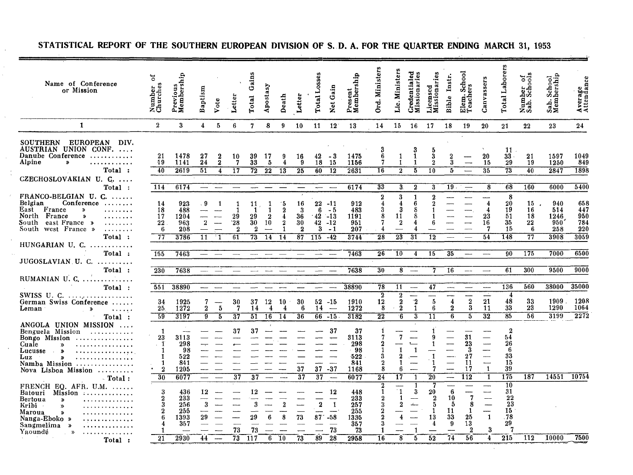| Name of Conference<br>or Mission                                                                                                                                                                                                                                                                                                                                                                                                      | ័<br>Number<br>Churches                                                                              | Previous<br>Membership                                               | Baptism                                  | Vote                              | Letter                            | Gains<br>Total                                           | Apostasy                                             | Death                                      | Letter                                                       | osses<br>Total                       | Net Gain                                            | Present<br>Membership                                                       | Ord. Ministers                                                           | Lic. Ministers                                                                          | Credentialed<br>Missionaries                                                  | Licensed<br>Missionaries                                                             | Instr.<br>Bible                                                                  | Elem. School<br>Teachers                                                                        | Canvassers                                                                                                                                                             | Laborers<br>Total                                                                              | Number of<br>Sab. Schools       | Sab. School<br>Membership                | Average<br>Attendance                   |
|---------------------------------------------------------------------------------------------------------------------------------------------------------------------------------------------------------------------------------------------------------------------------------------------------------------------------------------------------------------------------------------------------------------------------------------|------------------------------------------------------------------------------------------------------|----------------------------------------------------------------------|------------------------------------------|-----------------------------------|-----------------------------------|----------------------------------------------------------|------------------------------------------------------|--------------------------------------------|--------------------------------------------------------------|--------------------------------------|-----------------------------------------------------|-----------------------------------------------------------------------------|--------------------------------------------------------------------------|-----------------------------------------------------------------------------------------|-------------------------------------------------------------------------------|--------------------------------------------------------------------------------------|----------------------------------------------------------------------------------|-------------------------------------------------------------------------------------------------|------------------------------------------------------------------------------------------------------------------------------------------------------------------------|------------------------------------------------------------------------------------------------|---------------------------------|------------------------------------------|-----------------------------------------|
| 1                                                                                                                                                                                                                                                                                                                                                                                                                                     | $\overline{\mathbf{2}}$                                                                              | 3                                                                    | $\overline{4}$                           | 5                                 | 6                                 | $\overline{7}$                                           | 8                                                    | 9                                          | 10                                                           | 11                                   | 12                                                  | 13                                                                          | 14                                                                       | 15 <sub>1</sub>                                                                         | 16                                                                            | -17                                                                                  | 18                                                                               | 19                                                                                              | 20                                                                                                                                                                     | 21                                                                                             | 22                              | 23                                       | 24                                      |
| SOUTHERN EUROPEAN<br>DIV.<br>AUSTRIAN UNION CONF.<br>Danube Conference<br>. <b>.</b><br>Alpine<br>$\bullet$<br>.<br>Total :                                                                                                                                                                                                                                                                                                           | 21<br>19<br>40                                                                                       | 1478<br>1141<br>2619                                                 | 27<br>24<br>51                           | 2<br>$\overline{\mathbf{2}}$<br>4 | 10<br>7<br>$\overline{17}$        | 39<br>33<br>$\overline{72}$                              | 17<br>5<br>$\overline{2}\overline{2}$                | я<br>4<br>13                               | 16<br>Ō.<br>$\overline{25}$                                  | 42<br>18<br>60                       | - 3<br>15<br>$\overline{12}$                        | 1475<br>1156<br>2631                                                        | 6<br>7<br>$\overline{16}$                                                | 1<br>$\mathbf{1}$<br>$\overline{2}$                                                     | 1<br>$\mathbf{1}$<br>$\overline{5}$                                           | 3<br>$\overline{2}$<br>10                                                            | $\frac{2}{3}$<br>$\overline{h}$                                                  |                                                                                                 | 20<br>15<br>35                                                                                                                                                         | 11<br>$33 -$<br>29<br>$\overline{73}$                                                          | 21<br>19<br>40                  | 1597<br>1250<br>2847                     | 1049<br>849<br>1898                     |
| CZECHOSLOVAKIAN U. C.<br>Total :                                                                                                                                                                                                                                                                                                                                                                                                      | 114                                                                                                  | 6174                                                                 | $\overline{\phantom{0}}$                 |                                   |                                   |                                                          |                                                      |                                            |                                                              | $\overline{\phantom{m}}$             | $\overline{\phantom{m}}$                            | 6174                                                                        | 33                                                                       | $\overline{\mathbf{3}}$                                                                 | $\overline{2}$                                                                | 3                                                                                    | 19.                                                                              | $\overline{\phantom{a}}$                                                                        | 8                                                                                                                                                                      | 68                                                                                             | 160                             | 6000                                     | 5400                                    |
| FRANCO-BELGIAN U. C.<br>Belgian<br>Conference<br>East France<br>$\rightarrow$<br>.<br>North France<br>$\boldsymbol{v}$<br>.<br>South east France »<br>.<br>South west France »<br>Total:                                                                                                                                                                                                                                              | 14<br>18<br>17<br>22<br>6<br>77                                                                      | 923<br>488<br>1204<br>963<br>208<br>3786                             | . 9<br>$\overline{2}$<br>$\overline{11}$ | $\sim$<br>' 1                     | 29<br>28'<br>$\overline{2}$<br>61 | 11<br>$\mathbf{1}$<br>29<br>30<br>$\boldsymbol{2}$<br>73 | -1<br>$\overline{1}$<br>$\boldsymbol{2}$<br>10<br>14 | -5<br>$\overline{2}$<br>14                 | 16<br>$\boldsymbol{3}$<br>36<br>30<br>$\boldsymbol{2}$<br>87 | 6<br>$\cdot$ 42<br>42<br>3<br>115    | $22 - 11$<br>- 5<br>$-13$<br>$-12$<br>$-1$<br>$-42$ | 912<br>483<br>1191<br>951<br>207<br>3744                                    | $\boldsymbol{2}$<br>$\overline{4}$<br>3<br>8<br>7<br>-4<br>28            | 3<br>4<br>3<br>11<br>$\boldsymbol{2}$<br>$\overline{23}$                                | 1<br>ĥ<br>8<br>8<br>31                                                        | 2<br>1<br>В<br>$\overline{12}$                                                       |                                                                                  | $\overline{\phantom{0}}$                                                                        | 4<br>4<br>23<br>16<br>54                                                                                                                                               | 8<br>20<br>19<br>51<br>35<br>15<br>148                                                         | 15<br>16<br>18<br>22<br>6<br>77 | 940<br>514<br>1246<br>950<br>258<br>3908 | 658<br>447<br>950<br>784<br>220<br>3059 |
| $HUNGARIAN$ U. $C_{1}$<br>Total:                                                                                                                                                                                                                                                                                                                                                                                                      | 155                                                                                                  | 7463                                                                 |                                          |                                   |                                   |                                                          |                                                      |                                            |                                                              |                                      |                                                     | 7463                                                                        | 26                                                                       | $\overline{10}$                                                                         | 4                                                                             | $\overline{15}$                                                                      | 35                                                                               | $\qquad \qquad \qquad$                                                                          | $\overline{\phantom{a}}$                                                                                                                                               | 90                                                                                             | 175                             | 7000                                     | 6500                                    |
| JUGOSLAVIAN U. C.                                                                                                                                                                                                                                                                                                                                                                                                                     |                                                                                                      |                                                                      |                                          |                                   |                                   |                                                          |                                                      |                                            |                                                              |                                      |                                                     |                                                                             |                                                                          |                                                                                         |                                                                               |                                                                                      |                                                                                  |                                                                                                 |                                                                                                                                                                        | 61                                                                                             |                                 |                                          | 9000                                    |
| Total:<br>RUMANIAN U. C. $\dots\dots\dots\dots$<br>Total :                                                                                                                                                                                                                                                                                                                                                                            | 230<br>551                                                                                           | 7638<br>38890                                                        | $\hspace{0.05cm}$                        |                                   |                                   |                                                          |                                                      |                                            |                                                              |                                      |                                                     | 7638<br>38890                                                               | 30<br>78                                                                 | 8 <sup>1</sup><br>11                                                                    | $\frac{1}{2}$<br>$\overline{\phantom{a}}$                                     | 7<br>47                                                                              | 16<br>-                                                                          | $- -$                                                                                           | $\overline{\phantom{a}}$                                                                                                                                               | <b>136</b>                                                                                     | 300<br>560                      | 9500<br>38000                            | 35000                                   |
| German Swiss Conference<br>Leman<br>$\rightarrow$<br>$\sim 1.1$ and $\sim 1.1$<br>Total :                                                                                                                                                                                                                                                                                                                                             | 34<br>25<br>59                                                                                       | 1925<br>1272<br>3197                                                 | 7<br>$\mathbf 2$<br>9                    | $\bf 5$<br>$\overline{5}$         | 30<br>7<br>$\overline{37}$        | 37<br>14<br>$\overline{51}$                              | 12<br>$\overline{\bf 4}$<br>$\overline{16}$          | 10<br>4<br>14                              | 30<br>6<br>36                                                | 14                                   | $52 - 15$<br>$\overline{\phantom{0}}$<br>$66 - 15$  | 1910<br>1272<br>3182                                                        | $\overline{2}$<br>$12^{\circ}$<br>$\bf{8}$<br>$\overline{2}\overline{2}$ | $\frac{2}{2}$<br>$\overline{2}$<br>$\overline{6}$                                       | $\frac{2}{1}$<br>3                                                            | $\overline{\phantom{0}}$<br>$\boldsymbol{5}$<br>6<br>11                              | $\boldsymbol{4}$<br>$\bf 2$<br>6                                                 | $\frac{2}{3}$<br>$\overline{5}$                                                                 | ⋤<br>${\bf 21}$<br>11<br>$\overline{32}$                                                                                                                               | 4<br>48<br>33<br>$\overline{85}$                                                               | 33<br>$2\bar{3}$<br>56          | 1909.<br>1290<br>3199                    | 1208<br>1064<br>2272                    |
| ANGOLA UNION MISSION<br>Benguela Mission<br>.<br>Bongo Mission $\ldots$<br>Cuale<br>$\mathbf{v}$<br>. . <i>.</i> .<br>Lucusse<br>$\boldsymbol{\lambda}$<br>. <i>.</i><br>$\sim$<br>Luz<br>.<br>$\gg$<br>Namba Mission $\ldots$ , $\ldots$ , $\ldots$<br>Nova Lisboa Mission<br>$\lnot$ Total :<br>FRENCH EQ. AFR. U.M.<br>Batouri<br>Mission<br><b>Bertoua</b><br>$\boldsymbol{v}$<br>. <i>.</i><br>Kribi -<br>$\boldsymbol{\lambda}$ | $\mathbf{1}$<br>23<br>$\cdot$ 1<br>1<br>1<br>1<br>$\boldsymbol{2}$<br>30<br>3<br>$\overline{2}$<br>3 | 3113<br>298<br>98<br>522<br>841<br>1205<br>6077<br>436<br>233<br>256 | $\overline{\phantom{0}}$<br>12<br>3      | $\overline{\phantom{a}}$          | 37<br>$\overline{37}$             | 37<br>$\overline{37}$<br>12                              |                                                      | $\overline{\phantom{a}}$<br>$\mathfrak{D}$ | 37<br>$\overline{37}$                                        | 37<br>$\overline{37}$<br>$\mathbf 2$ | 37<br>$-37$<br>₩<br>-12<br>$\mathbf{1}$             | 37<br>3113<br>298<br>98<br>-522<br>841<br>1168<br>6077<br>448<br>233<br>257 | 3<br>2<br>8<br>$\overline{24}$<br>2<br>1                                 | $\overline{7}$<br>1<br>2<br>ĥ<br>$\overline{17}$<br>$^{\circ}1$<br>-1<br>$\overline{2}$ | $\mathbf{1}$<br>$\overline{a}$<br>$\overline{\phantom{a}}$<br>-1<br>3<br>للمك | 1<br>9<br>1<br>$\overline{7}$<br>$\overline{20}$<br>7<br>20<br>$\boldsymbol{2}$<br>5 | $\overline{\phantom{0}}$<br>----<br>$\frac{1}{1}$<br>$6\phantom{1}6$<br>10<br>-5 | 31<br>23<br>3<br>$^{27}$<br>11<br>17<br>$\overline{112}$<br>للسبب<br>---<br>$\overline{7}$<br>8 | ---<br>$\frac{1}{1}$<br><u>.</u><br>——<br>—<br>$\overline{\phantom{0}}$<br>$\mathbf{1}$<br>$\overline{1}$<br>$\overline{\phantom{0}}$<br>-<br>$\overline{\phantom{a}}$ | $\overline{2}$<br>54<br>26<br>-6<br>33<br>15<br>39<br>175<br>$\overline{10}$<br>31<br>22<br>23 | 187                             | 14551                                    | 10754                                   |
| .<br>Maroua<br>$\boldsymbol{\lambda}$<br>. <i>. .</i> .<br>Nanga-Eboko »<br>. <i>.</i> .<br>Sangmelima »<br>. <i>.</i><br>Yaoundé<br>$\boldsymbol{\lambda}$<br>. . <b>.</b><br>Total :                                                                                                                                                                                                                                                | $\overline{2}$<br>21                                                                                 | 255<br>1393<br>357<br>2930                                           | 29<br>44                                 |                                   | 73<br>73                          | 29<br>73<br>-117                                         | ĥ<br>6                                               | 10                                         | 73<br>73                                                     | 87 <sup>°</sup><br>89                | $-58$<br>73<br>28                                   | 255<br>1335<br>357<br>73<br>2958                                            | 16                                                                       | 8                                                                                       | 5                                                                             | 1<br>13<br>52                                                                        | 11<br>33<br>9<br>74                                                              | 1<br>25<br>13<br>$\overline{2}$<br>56                                                           | $\mathbf{1}$<br>$\bf{3}$<br>4                                                                                                                                          | 15<br>.78<br>29<br>7<br>215                                                                    | 112                             | 10000                                    | 7500                                    |

### **STATISTICAL REPORT OF THE SOUTHERN EUROPEAN DIVISION OF S. D. A. FOR THE QUARTER ENDING MARCH** 31, 1953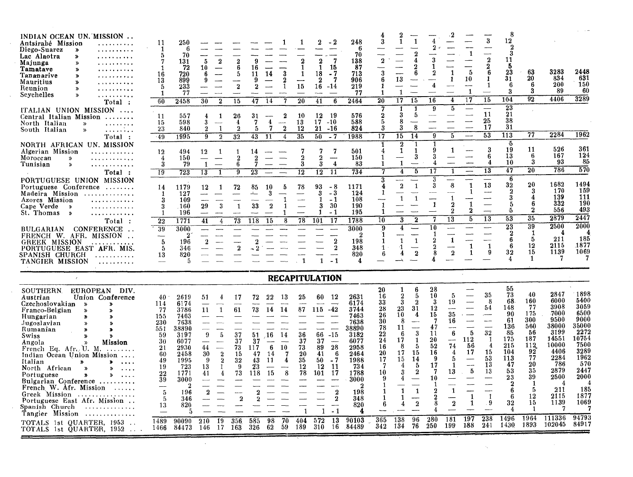$\label{eq:1.1} \mathcal{L}_{\mathcal{A}}(x,y) = \mathcal{L}_{\mathcal{A}}(x,y) \mathcal{L}_{\mathcal{A}}(x,y) = \mathcal{L}_{\mathcal{A}}(x,y) \mathcal{L}_{\mathcal{A}}(x,y)$ 

Ting and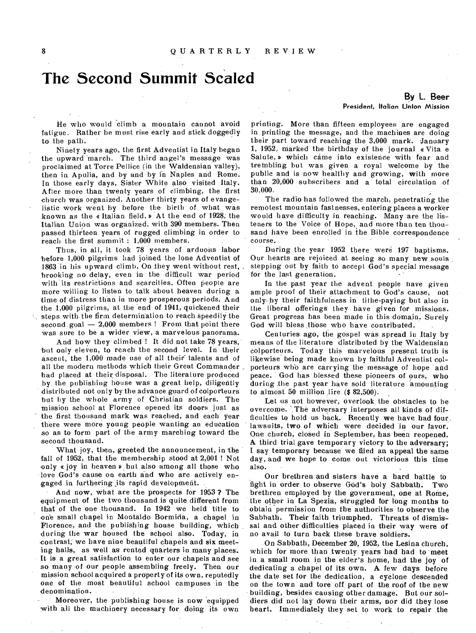### **The Second Summit Scaled**

He who would climb a mountain cannot avoid fatigue. Rather he must rise early and stick doggedly to the path.

Ninety years ago, the first Adventist in Italy began the upward march. The third angel's message was proclaimed at Torre Pellice (in the Waldensian valley), then ia Apulia, and by and by in Naples and Rome. In those early days, Sister White also visited Italy. After more than twenty years of climbing, the first church was organized. Another thirty years of evangelistic work went by before the birth of what was known as the a Italian field. b At the end of 1928; the Italian Union was organized, with 390 members. Then passed thirteen years of rugged climbing in order to reach the first summit : 1,000 members.

Thus, in all, it took 78 years of arduous labor before 1,000 pilgrims had joined the lone Adventist of 1863 in his upward climb. On.they went without rest, brooking no delay, even in the difficult war period with its restrictions and scarcities. Often people are more willing to listen to talk about heaven during a time of distress than in more prosperous periods. And the 1,000 pilgrims, at the end of 1941, quickened their  $\lambda$ , steps with the firm determination to reach speedily the second goal  $-2,000$  members ! From that point there was sure to be a wider view, a marvelous panorama.

And how they climbed ! It did not take 78 years, but only eleven, to reach the second level. In their ascent, the 1,000 made use of all their talents and of all the modern methods which their Great Commander had placed at their disposal. The literature produced by the publishing house was a great help, diligently distributed not only by the advance guard of colporteurs but by the whole army of Christian soldiers. The mission school at Florence opened its doors just as the first thousand mark was reached, and each year there were more young people wanting an education so as to form part of the army marching toward the second thousand.

What joy, then, greeted the announcement, in the fall of 1952, that the membership stood at 2,001 ! Not only  $\epsilon$  joy in heaven  $\epsilon$  but also among all those who love God's cause on earth and who are actively engaged in furthering its rapid development.

And now, what are the prospects for 1953 ? The equipment of the two thousand is quite different from that of the one thousand. In 1942 we held title to one small chapel in Montaldo Bormida, a chapel in Florence, and the publishing house building, which during the war housed the school also. Today, in contrast; we have nine beautiful chapels and six meeting halls, as well as rented quarters in many places. It is a great satisfaction to enter our chapels and see so many of our people assembling freely. Then our mission school acquired a property of its own, reputedly one of the most beautiful school campuses in the denomination.

Moreover, the publishing house is now equipped with all the machinery necessary for doing its own

#### **By L. Beer**  President, Italian Union Mission

printing. More than fifteen employees are engaged in printing the message, and the machines are doing their part toward reaching the 3,000 mark. January 1, 1952, marked the birthday of the journal a Vita e Salute, » which came into existence with fear and trembling, but was given a royal welcome by the public and is now healthy and growing, with more than 20,000 subscribers and a total circulation of 30,000.

The radio has followed the march, penetrating the remotest mountain fastnesses, entering places a worker would have difficulty in reaching. Many are the listeners to the Voice of Hope, and more than ten thousand have been enrolled in the Bible correspondence course.

During the year 1952 there were 197 baptisms. Our hearts are rejoiced at seeing so many new souls stepping out by faith to accept God's special message for the last generation.

In the past year the advent people bave given ample proof of their attachment to God's cause, not only-by their faithfulness in tithe-paying but also in the liberal offerings they have given for missions. Great progress has been made in this domain. Surely God will bless those who have contributed.

Centuries ago, the gospel was spread in Italy by means of the literature distributed by the Waldensian colporteurs. Today this marvelous present truth is likewise being made known by faithful Adventist colporteurs who are carrying the message of hope and peace. God has blessed these pioneers of ours, who during the past year have sold literature amounting to almost  $50$  million lire  $($32,500)$ .

Let us not however, overlook the obstacles to be overcome. The adversary interposes all kinds of difficulties to hold us back. Recently we have had four, lawsuits, two of which were decided in our favor. One church, closed in September, has been reopened. A third trial, gave temporary victory to the adversary; I say temporary because we filed an appeal the same day, and we hope to come out victorious this time also.

Our brethren and sisters have a hard battle to fight in order to observe God's holy Sabbath. Two brethren employed by the government, one at Rome, the other in La Spezia, struggled for long months to obtain permission from the authorities to observe the Sabbath. Their faith triumphed. Threats of dismissal and other difficulties placed in their way were of no avail to turn back these brave soldiers.

On Sabbath, December 20, 1952, the Lesina church, which for more than twenty years had had to meet in a small room in the elder's home, had the joy of dedicating a chapel of its own. A few days before the date set for the dedication, a cyclone descended on the town and tore off part of the roof of the new building, besides causing other damage. But our soldiers did not lay down their arms, nor did they lose heart. Immediately they set to work to repair the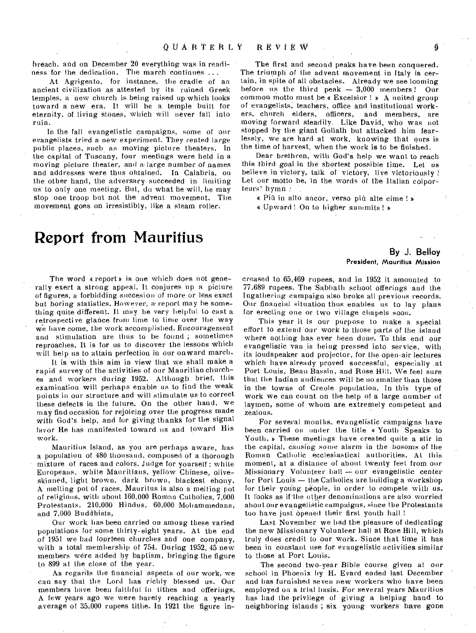breach, and on December 20 everything was in readiness for the dedication. The march continues ...

At Agrigento, for instance, the cradle of an ancient civilization as attested by its ruined Greek temples, a new church is being raised up which looks toward a new era. It will be a temple built for eternity, of living stones, which will never fall into ruin.

In the fall evangelistic campaigns, some of our evangelists tried a new experiment. They rented large public places, such as moving picture theaters. In the capital of Tuscany, four meetings were held in a moving picture theater, and a, large number of names and addresses were thus obtained. In Calabria, on the other hand, the adversary succeeded in limiting us to only one meeting. But, do what he will, lie may stop one troop but not the advent movement. The movement goes on irresistibly, like a steam roller.

# **Report from Mauritius**

The word a report is one which does not generally exert a strong appeal. It conjures up a picture of figures, a forbidding snccesion of more or less exact but boring statistics. However, a report may he something quite different. It may be very helpful to cast a retrospective glance from time to time over the way we have come, the work accomplished. Encouragement and stimulation are thus to be found ; sometimes reproaches. It is for us to discover the lessons which will help us to attain perfection in our onward march.

It is with this aim in view that we shall make a rapid survey of the activities of our Mauritian churches and workers during 1952. Although brief, this examination will perhaps enable us to find the weak points in our structure and will stimulate us to correct these defects in the future. On the other hand, we may find occasion for rejoicing over the progress made with God's help, and for giving thanks for the signal favor He has manifested toward us and toward His work.

Mauritius Island, as you are perhaps aware, has a population of 480 thousand, composed of a thorough mixture of races and colors. Judge for yourself : white Europeans, white Mauritians, yellow Chinese, oliveskinned, light brown, dark brown, blackest ebony. A melting pot of races, Mauritus is also a melting pot of religious, with about 160,000 Roman Catholics, 7,000. Protestants, 210,000" Hindus, 60,000 Mohammedans, and 7,000 Buddhists,

Our work has been carried on among these varied populations for some thirty-eight years. At the end of 1951 we had fourteen churches and one company, with a total membership of 754. During 1952, 45 new members were added by baptism, bringing the figure to 899 at the close of the year.

As regards the financial aspects of our work, we can say that the Lord has richly blessed us. Our members have been faithful in tithes and offerings. A few years ago we were barely reaching a yearly average of 35,000 rupees tithe. In 1921 the figure in-

The first and second peaks have been conquered. The triumph of the advent movement in Italy is certain, in spite of all obstacles. Already we see looming before us the third peak — 3,000 members! Our common motto must be a Excelsior ! » A united group of evangelists; teachers, office and institutional workers, church elders, officers, and members, are moving forward steadily. Like David, who was not stopped by the giant Goliath but attacked him fearlessly, we are hard at work, knowing that ours is the time of harvest, when the work is to be finished.

Dear brethren, with God's help we want to reach this third goal in the shortest possible time. Let us believe in victory, talk of victory, live victoriously ! Let our motto be, in the words of the Italian colportears' hymn :

« Più in alto ancor, verso più alte cime ! »

« Upward ! On to higher summits ! »

#### **By J. Belloy**  President, Mauritius Mission

creased to .65,469 rupees, and in 1952 it amounted to 77,689 rupees. The Sabbath school offerings and the Ingathering campaign also broke all previous records. Our financial situation thus enables us to lay plans for erecting one or two village chapels soon.

This year it is our purpose to make a special effort to extend our work to those parts of the island where nothing has ever been done. To this end our evangelistic van ,is being pressed into service, with. its loudspeaker and projector, for the open-air lectures which have already proved successful, especially .at Port Louis, Beau Bassin, and Rose Hill. We feel sure that the Indian audiences will be no smaller than those in the towns of Creole population. In this type of work we can count on the help of a large number of laymen, some of whom are extremely competent and zealous.

For several months, evangelistic campaigns have been carried on under the title a Youth Speaks to Youth. » These meetings have created quite a stir in the capital, causing some alarm in the bosoms of the Roman Catholic ecclesiastical authorities. AL this moment, at a distance of about twenty feet from our Missionary Volunteer hall — our evangelistic center for Port Louis — the Catholics are building a workshop for their young people, in order to compete with us. It looks as if the other denominations are also worried about our evangelikic campaigns, since the Protestants too have just opened their first youth hall !

Last November we had the pleasure of dedicating the new Missionary Volunteer hall at Rose Hill, which truly does credit to our work. Since that time it has been in constant use for evangelistic activities similar to those at Port Louis.

The second two-year Bible course *given* at our school in Phoenix by H. Evard ended last December and has furnished seven new workers who have been employed on a trial basis. For several years Mauritius' has had the privilege of giving a helping hand to neighboring islands; six young workers have gone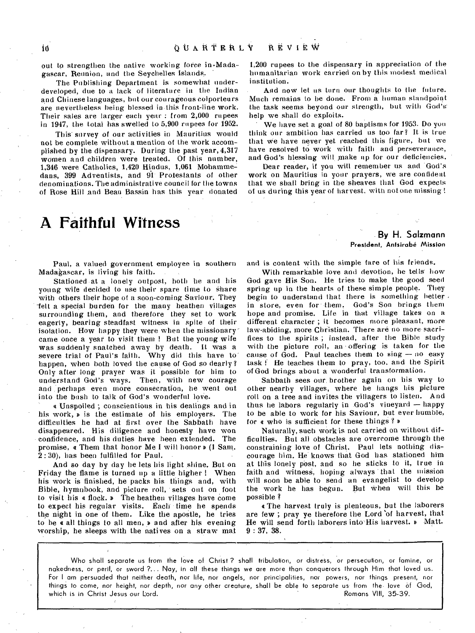out to strengthen the native working force in  $Mada$ gascar, Reunion, and the Seychelles Islands.

The Publishing Department is somewhat underdeveloped, due to a lack of literature in the Indian and Chinese languages, but our courageous colporteurs are nevertheless being blessed in-this front-line work. Their sales are larger each year : from 2,000 rupees in 1947, the total has swelled to 5,900 rupees for 1952.

This' survey of our activities in Mauritius would not be complete without a mention of the work accomplished by the dispensary. During the past year, 4,317 women and children were treated. Of this number, 1,346 were Catholics, 1,420 Hindus, 1,061 Mohamme dans, 399 Adventists, and 94' Protestants of other denominations. The administrative council for the towns of Rose Hill and Beau Bassin has this year donated

## **A Faithful Witness**

Paul, a valued government employee in southern Madagascar, is living his faith.

Stationed at a lonely outpost, both he and his young wife decided to use their spare time to share with others their hope of a soon-coming Saviour. They -felt a special burden for the many heathen villages surrounding them, and therefore they set to work eagerly, bearing steadfast witness in spite of their isolation. How happy they were when the missionary' came once a year to visit them ! But the young wife was suddenly snatched away by death. It was a severe trial of Paul's faith. Why did this have to' happen, when both loved the cause of God so dearly? Only after long prayer was it possible for him to understand God's ways. Then, with new courage and perhaps even more consecration, he went out into the bush to talk of God's wonderful love.

e Unspoiled ; conscientious in his dealings and in his work,  $\triangleright$  is the estimate of his employers. The difficulties he had at first over the Sabbath have disappeared. His diligence and honesty have won confidence, and his duties have been extended. The promise,  $\alpha$  Them that honor Me I will honor  $\rho$  (1 Sam. 2 : 30), has been fulfilled for Paul.

And so day by day he lets his light shine. But on Friday the flame is turned up a little higher ! When his work is finished, he packs his things and, with Bible, hymnbook, and picture roll, sets out on foot to visit his e flock. D The heathen villages have come to expect his regular visits. Each time he spends the night in one of them. Like the apostle, he tries to be  $\epsilon$  all things to all men,  $\nu$  and after his evening worship, he sleeps with the natives on a straw mat

1,200 rupees to the dispensary in appreciation of the humanitarian work carried on by this modest medical institution.

And now let us turn our thoughts to the future. Much remains to be done. From a human standpoint the task seems beyond our strength, but with God'shelp we shall do exploits.

We have set a goal of 80 baptisms for 1953. Do you think our ambition has carried us too far? It is true that we have never yet reached this figure, but we have resolved to work with faith and perseverance, and God's hlessing will make up for our deficiencies.

Dear reader, if you will remember us and God's work on Mauritius in your prayers, we are confident that we shall bring in the sheaves that God expects of us during this year of harvest, with not one missing !

#### **By H. Salzmann President, Antsirobe Mission**

and is content with the simple fare of his friends.

With remarkable love and devotion, he tells' how God gave His Son. He tries to make the good seed spring up in the hearts of these simple people. They begin to understand that there is something better. in store, even for them. God's Son brings them hope and promise. Life in that village takes on a different character ; it becomes more pleasant, more law-abiding, more Christian. There are no more sacrifices to the spirits ; instead, after the Bible study with the picture roll, an offering is taken for the cause of God. Paul teaches them to sing — no easy task ! He teaches them to pray, too, and the Spirit of God brings about a wonderful transformation.

Sabbath sees our, brother again on his way to other nearby villages, where he hangs his picture roll on a tree and invites the villagers to listen. And thus he labors regularly in God's vineyard — happy to be able to work for his Saviour, but ever humble, for e who is sufficient for these things ? s

Naturally, such work is not carried on without difficulties. But all obstacles are overcome through the constraining love of Christ. Paul lets nothing discourage him. He knows that God has stationed him at this lonely post, and so he sticks to it, true in faith and witness, hoping always 'that the mission will soon be able to send an evangelist to develop the work he has begun. But when will this be possible ?

e The harvest truly is plenteous, but the laborers are few ; pray ye therefore the Lord of harvest, that He will send forth laborers into His harvest. » Matt. 9 : 37, 38.

Who shall separate us from the love of Christ ? shall tribulation, or distress, or persecution, or famine, or nakedness, or peril, or sword ?... Nay, in all these things we are more than conquerors through Him that loved us. For I am persuaded that neither death, nor life, nor angels, nor principalities, nor powers, nor things present, nor things to come, nor height, nor depth, nor any other creature, shall be able to separate us from the love of God, which is in Christ Jesus our Lord.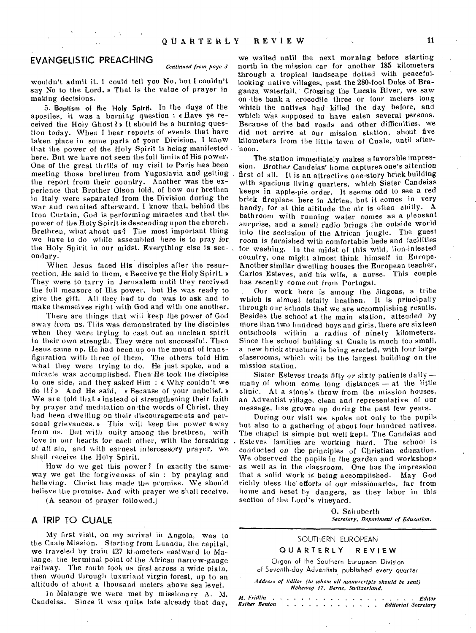### EVANGELISTIC PREACHING

#### *Continued from page 3*

wouldn't admit it. I could tell you No, but I couldn't say No to the Lord. » That is the value of prayer in making decisions.

5. **Baptism of the Holy Spirit.** In the days of the apostles, it was a burning question : a Have ye received the Holy Ghost? » It should be a burning question today. When I hear reports of events that have taken place in some parts of your Division, I know that the power of the Holy Spirit is being manifested here. But we have not seen the full limits of His power. One of the great thrills of my visit to Paris has been meeting those brethren from Yugoslavia and getting the report from their country. Another was the  $ex$ perience that Brother Olson told, of how our brethen in Italy were separated from the Division during the war and reunited afterward. I know that, behind the Iron Curtain, God is performing miracles and that the power of the Holy Spirit is descending upon the church. Brethren, what about us? The most important thing we have to do while assembled here is to pray for. the Holy Spirit in our midst. Everything else is secondary.

When Jesus faced His disciples after the resurrection, He said to them, « Receive ye the Holy Spirit. » They were to tarry in Jerusalem until they received the full measure of His power, but He was ready to give the gift. All they had to do was to ask and to make themselves right with God and with one another.

There are things that will keep the power of God away from us. This was demonstrated by the disciples when they were trying to cast out an unclean spirit in their own strength. They were not successful. Then Jesus came up. He had been, up on the mount of transfiguration with three of them. The others told Him what they were trying to do. He just spoke, and a miracle was accomplished. Then He took the disciples to one side, and they asked Him : e Why couldn't we do it?» And He said, «Because of your unbelief.» We are told that cinstead of strengthening their faith by prayer and meditation on the words of Christ, they had been dwelling on their discouragements and personal grievances.» This will keep the power away from us. But with unity among the brethren, with love in our hearts for each other, with the forsaking of all sin, and with earnest intercessory prayer, we shall receive the Holy Spirit.

How do we get this power? In exactly the same' way we get the forgiveness of sin : by praying and believing. Christ has made the promise. We should believe the promise. And with prayer we shall receive.

**(A** season of prayer followed.)

### A TRIP TO CUALE

My first visit, on my arrival in Angola, was to the Cuale Mission. Starting from Luanda, the capital, we traveled by train 427 kilometers eastward to Malange, the terminal point of the African narrow-gauge railway. The route took us first across a wide plain, then wound through luxuriant virgin forest, up to an altitude of about a thousand meters above sea level.

In Malange we were met by missionary A. M. Candeias. Since it was quite late already that day,

we waited until the next morning before starting north in the mission car for another 185 kilometers through a tropical landscape dotted with peacefullooking native villages, past the 280-foot Duke of Braganza waterfall. Crossing the Lucala River, we saw on the bank a crocodile three or four meters long which the natives had killed the day before, and which was supposed to have eaten several persons. Because of the bad roads and other difficulties, we did not arrive at our mission station, about five kilometers from the little town of Cuale, until afternoon.

The station immediately makes a favorable impression. Brother Candeias' home captures one's attention first of all. It is an attractive one-story brick building with spacious living quarters, which Sister Candeias keeps in apple-pie order. It seems odd to see a red brick fireplace here in Africa, but it comes in very handy, for at this altitude the air is often chilly. A bathroom with running water comes as a pleasant surprise, and a small radio *brings* the outside world into the seclusion of the African jungle. The guest room is furnished with comfortable beds and facilities for washing. In the midst of this wild, lion-infested country, one might almost think himself in Europe• Another similar dwelling houses the European teacher, Carlos Esteves, and his wife, a nurse. This couple has recently come out from Portugal.

. Our work here is among *the* Jingoas, a tribe which is almost totally heathen. It is principally through our schools that we are accomplishing results. Besides the school at the main station, attended by more than two hundred boys and girls, there are sixteen outschools within a radius of ninety kilometers. Since the school building at Cuale is much too small, a new brick structure is being erected, with four large classrooms, which will be the largest building on the mission station.

Sister Esteves treats fifty or sixty patients daily many of whom come long distances  $-$  at the little clinic. At a stone's throw from the mission houses, an Adventist village, clean and representative of our message, has grown up during the past few years.

During our visit we spoke not only to the pupils but also to a gathering of about four hundred natives. The chapel is simple but well kept. The Candelas and Esteves families are working hard. The school is conducted on the principles of Christian education. We observed the pupils in the garden and workshops as well as in the classroom. One has the impression that, a solid work is being accomplished. May God richly bless the' efforts of our missionaries, far from home and beset by dangers, as they labor in this section of the Lord's vineyard.

> 0. Schuberth *Secretary, Department of Education.*

#### SOUTHERN EUROPEAN

#### **QUARTERLY REVIEW**

Organ of the Southern European Division of Seventh-day Adventists published every quarter

*Address of Editor (to whom all manuscripts should be sent) Iltilteweg 17, Berne, Switzerland.* 

*Al. Fridlin Esther Benton Editor Editorial Secretary*